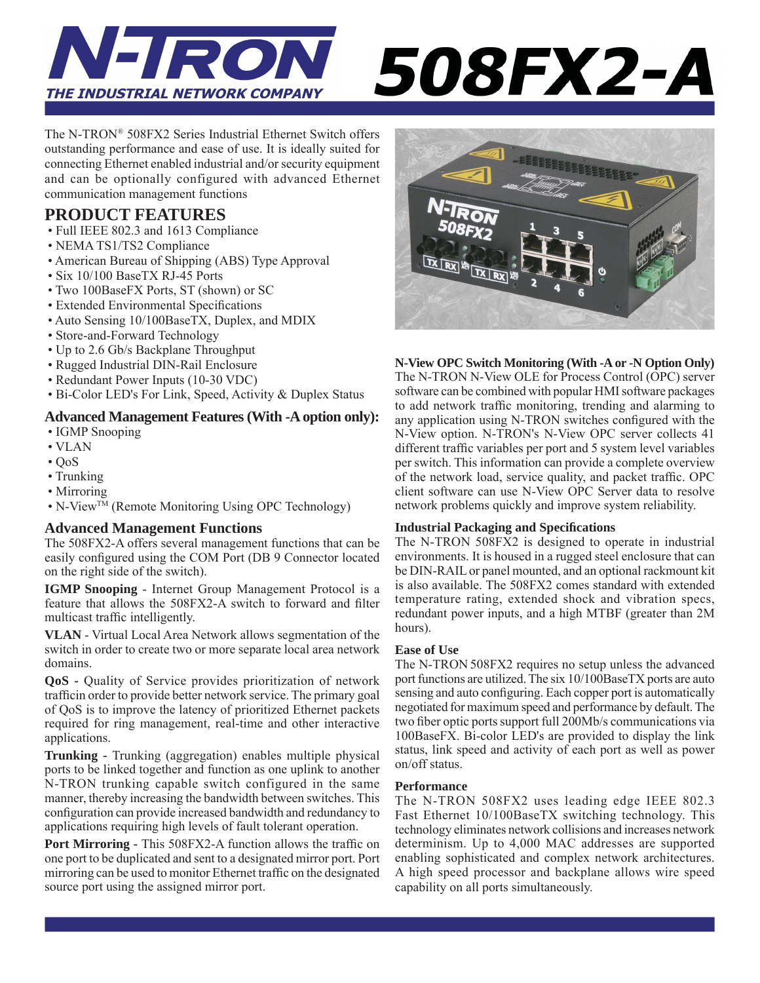

# 508FX2-A

The N-TRON® 508FX2 Series Industrial Ethernet Switch offers outstanding performance and ease of use. It is ideally suited for connecting Ethernet enabled industrial and/or security equipment and can be optionally configured with advanced Ethernet communication management functions

#### **PRODUCT FEATURES**

- Full IEEE 802.3 and 1613 Compliance
- NEMA TS1/TS2 Compliance
- American Bureau of Shipping (ABS) Type Approval
- Six 10/100 BaseTX RJ-45 Ports
- Two 100BaseFX Ports, ST (shown) or SC
- Extended Environmental Specifications
- Auto Sensing 10/100BaseTX, Duplex, and MDIX
- Store-and-Forward Technology
- Up to 2.6 Gb/s Backplane Throughput
- Rugged Industrial DIN-Rail Enclosure
- Redundant Power Inputs (10-30 VDC)
- Bi-Color LED's For Link, Speed, Activity & Duplex Status

#### **Advanced Management Features (With -A option only):**

- IGMP Snooping
- VLAN
- $\cdot$  OoS
- Trunking
- Mirroring
- N-ViewTM (Remote Monitoring Using OPC Technology)

#### **Advanced Management Functions**

The 508FX2-A offers several management functions that can be easily configured using the COM Port (DB 9 Connector located on the right side of the switch).

**IGMP Snooping** - Internet Group Management Protocol is a feature that allows the 508FX2-A switch to forward and filter multicast traffic intelligently.

**VLAN** - Virtual Local Area Network allows segmentation of the switch in order to create two or more separate local area network domains.

**QoS -** Quality of Service provides prioritization of network trafficin order to provide better network service. The primary goal of QoS is to improve the latency of prioritized Ethernet packets required for ring management, real-time and other interactive applications.

**Trunking -** Trunking (aggregation) enables multiple physical ports to be linked together and function as one uplink to another N-TRON trunking capable switch configured in the same manner, thereby increasing the bandwidth between switches. This configuration can provide increased bandwidth and redundancy to applications requiring high levels of fault tolerant operation.

**Port Mirroring - This 508FX2-A function allows the traffic on** one port to be duplicated and sent to a designated mirror port. Port mirroring can be used to monitor Ethernet traffic on the designated source port using the assigned mirror port.



#### **N-View OPC Switch Monitoring (With -A or -N Option Only)**

The N-TRON N-View OLE for Process Control (OPC) server software can be combined with popular HMI software packages to add network traffic monitoring, trending and alarming to any application using N-TRON switches configured with the N-View option. N-TRON's N-View OPC server collects 41 different traffic variables per port and 5 system level variables per switch. This information can provide a complete overview of the network load, service quality, and packet traffic. OPC client software can use N-View OPC Server data to resolve network problems quickly and improve system reliability.

#### **Industrial Packaging and Specifi cations**

The N-TRON 508FX2 is designed to operate in industrial environments. It is housed in a rugged steel enclosure that can be DIN-RAIL or panel mounted, and an optional rackmount kit is also available. The 508FX2 comes standard with extended temperature rating, extended shock and vibration specs, redundant power inputs, and a high MTBF (greater than 2M hours).

#### **Ease of Use**

The N-TRON 508FX2 requires no setup unless the advanced port functions are utilized. The six 10/100BaseTX ports are auto sensing and auto configuring. Each copper port is automatically negotiated for maximum speed and performance by default. The two fiber optic ports support full 200Mb/s communications via 100BaseFX. Bi-color LED's are provided to display the link status, link speed and activity of each port as well as power on/off status.

#### **Performance**

The N-TRON 508FX2 uses leading edge IEEE 802.3 Fast Ethernet 10/100BaseTX switching technology. This technology eliminates network collisions and increases network determinism. Up to 4,000 MAC addresses are supported enabling sophisticated and complex network architectures. A high speed processor and backplane allows wire speed capability on all ports simultaneously.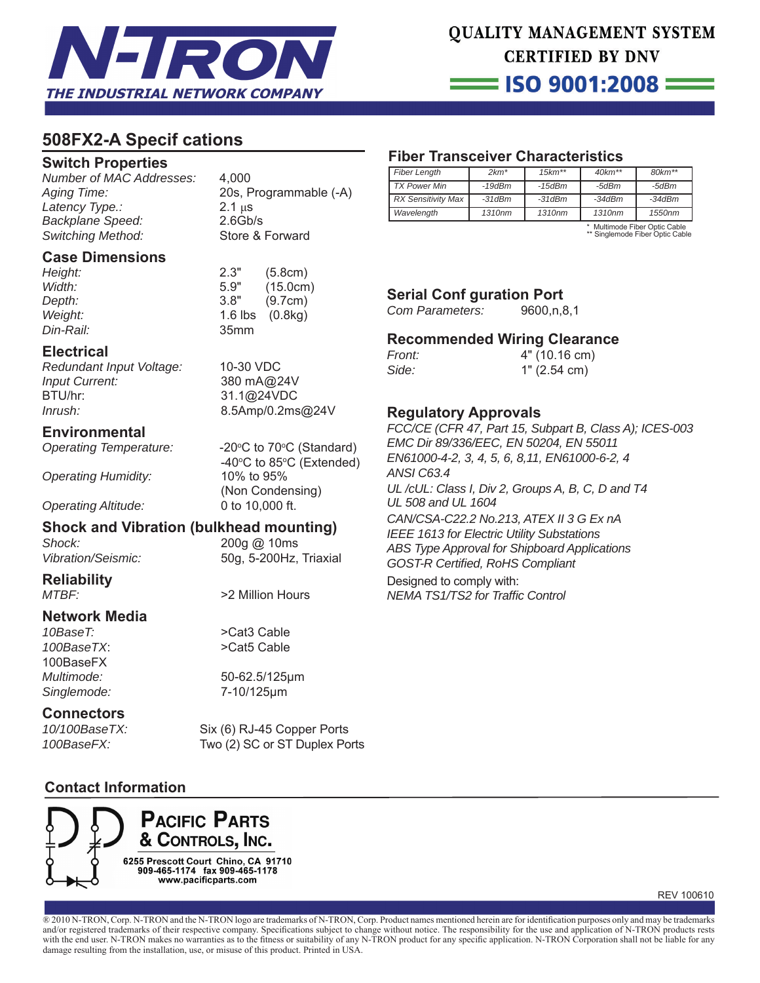

= ISO 9001:2008 =

#### **508FX2-A Specif cations**

#### **Switch Properties**

*Number of MAC Addresses:* 4,000 *Aging Time:* 20s, Programmable (-A) *Latency Type.:* 2.1 μs *Backplane Speed:* 2.6Gb/s *Switching Method:* Store & Forward

#### **Case Dimensions**

| Height:       | 2.3"             | (5.8cm)                  |
|---------------|------------------|--------------------------|
| Width:        | 5.9"             | (15.0cm)                 |
| <i>Depth:</i> | 3.8"             | (9.7cm)                  |
| Weight:       |                  | 1.6 $\text{lbs}$ (0.8kg) |
| Din-Rail:     | 35 <sub>mm</sub> |                          |
|               |                  |                          |

#### **Electrical**

*Redundant Input Voltage:* 10-30 VDC *Input Current:* 380 mA@24V BTU/hr: 31.1@24VDC *Inrush:* 8.5Amp/0.2ms@24V

#### **Environmental**

**Operating Temperature:** 

*Operating Humidity:* 10% to 95%

C to  $70^{\circ}$ C (Standard)  $-40^\circ$  $C$  to 85 $\degree C$  (Extended) (Non Condensing) *Operating Altitude:* 0 to 10,000 ft.

#### **Shock and Vibration (bulkhead mounting)**

*Shock:* 200g @ 10ms

*Vibration/Seismic:* 50g, 5-200Hz, Triaxial

## **Reliability**

**Network Media**

*10BaseT:* >Cat3 Cable *100BaseTX*: >Cat5 Cable 100BaseFX *Singlemode:* 7-10/125μm

**Connectors**<br>10/100BaseTX:

>2 Million Hours

*Multimode:* 50-62.5/125μm

Six (6) RJ-45 Copper Ports *100BaseFX:* Two (2) SC or ST Duplex Ports

#### **Contact Information**



### **Fiber Transceiver Characteristics**

| <b>Fiber Length</b>       | $2km*$             | $15 km**$    | $40km**$ | $80 km**$ |
|---------------------------|--------------------|--------------|----------|-----------|
| <b>TX Power Min</b>       | $-19$ d $Bm$       | $-15$ d $Bm$ | -5dBm    | -5dBm     |
| <b>RX Sensitivity Max</b> | $-31dBm$           | $-31dBm$     | $-34dBm$ | $-34dBm$  |
| Wavelength                | 1310 <sub>nm</sub> | 1310nm       | 1310nm   | 1550nm    |

\* Multimode Fiber Optic Cable \*\* Singlemode Fiber Optic Cable

## **Serial Conf guration Port**<br>Com Parameters: 9600.n.8.1

*Com Parameters:* 

#### **Recommended Wiring Clearance**

| <i>Front:</i> | 4" (10.16 cm) |  |  |
|---------------|---------------|--|--|
| Side:         | 1" (2.54 cm)  |  |  |

#### **Regulatory Approvals**

*FCC/CE (CFR 47, Part 15, Subpart B, Class A); ICES-003 EMC Dir 89/336/EEC, EN 50204, EN 55011 EN61000-4-2, 3, 4, 5, 6, 8,11, EN61000-6-2, 4 ANSI C63.4 UL /cUL: Class I, Div 2, Groups A, B, C, D and T4 UL 508 and UL 1604 CAN/CSA-C22.2 No.213, ATEX II 3 G Ex nA IEEE 1613 for Electric Utility Substations ABS Type Approval for Shipboard Applications GOST-R Certifi ed, RoHS Compliant*

Designed to comply with: *NEMA TS1/TS2 for Traffi c Control*

REV 100610

® 2010 N-TRON, Corp. N-TRON and the N-TRON logo are trademarks of N-TRON, Corp. Product names mentioned herein are for identification purposes only and may be trademarks and/or registered trademarks of their respective company. Specifications subject to change without notice. The responsibility for the use and application of N-TRON products rests with the end user. N-TRON makes no warranties as to the fitness or suitability of any N-TRON product for any specific application. N-TRON Corporation shall not be liable for any damage resulting from the installation, use, or misuse of this product. Printed in USA.